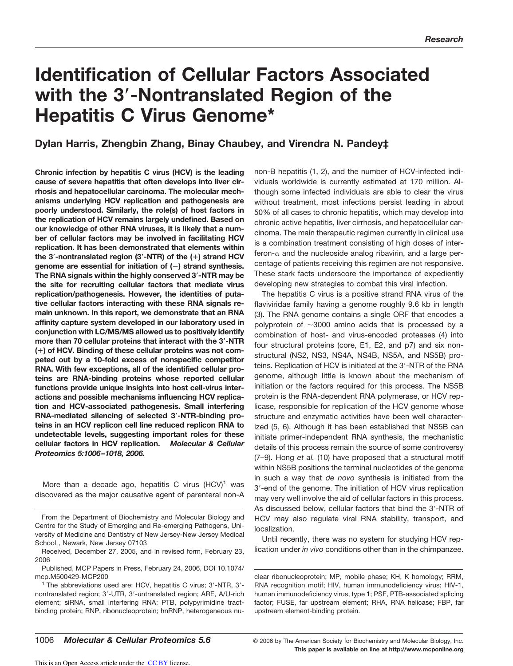# **Identification of Cellular Factors Associated with the 3-Nontranslated Region of the Hepatitis C Virus Genome\***

# **Dylan Harris, Zhengbin Zhang, Binay Chaubey, and Virendra N. Pandey‡**

**Chronic infection by hepatitis C virus (HCV) is the leading cause of severe hepatitis that often develops into liver cirrhosis and hepatocellular carcinoma. The molecular mechanisms underlying HCV replication and pathogenesis are poorly understood. Similarly, the role(s) of host factors in the replication of HCV remains largely undefined. Based on our knowledge of other RNA viruses, it is likely that a number of cellular factors may be involved in facilitating HCV replication. It has been demonstrated that elements within the 3-nontranslated region (3-NTR) of the () strand HCV genome are essential for initiation of (**-**) strand synthesis. The RNA signals within the highly conserved 3-NTR may be the site for recruiting cellular factors that mediate virus replication/pathogenesis. However, the identities of putative cellular factors interacting with these RNA signals remain unknown. In this report, we demonstrate that an RNA affinity capture system developed in our laboratory used in conjunction with LC/MS/MS allowed us to positively identify more than 70 cellular proteins that interact with the 3-NTR () of HCV. Binding of these cellular proteins was not competed out by a 10-fold excess of nonspecific competitor RNA. With few exceptions, all of the identified cellular proteins are RNA-binding proteins whose reported cellular functions provide unique insights into host cell-virus interactions and possible mechanisms influencing HCV replication and HCV-associated pathogenesis. Small interfering RNA-mediated silencing of selected 3-NTR-binding proteins in an HCV replicon cell line reduced replicon RNA to undetectable levels, suggesting important roles for these cellular factors in HCV replication.** *Molecular & Cellular Proteomics 5:1006–1018, 2006.*

More than a decade ago, hepatitis C virus  $(HCV)^1$  was discovered as the major causative agent of parenteral non-A non-B hepatitis (1, 2), and the number of HCV-infected individuals worldwide is currently estimated at 170 million. Although some infected individuals are able to clear the virus without treatment, most infections persist leading in about 50% of all cases to chronic hepatitis, which may develop into chronic active hepatitis, liver cirrhosis, and hepatocellular carcinoma. The main therapeutic regimen currently in clinical use is a combination treatment consisting of high doses of interferon- $\alpha$  and the nucleoside analog ribavirin, and a large percentage of patients receiving this regimen are not responsive. These stark facts underscore the importance of expediently developing new strategies to combat this viral infection.

The hepatitis C virus is a positive strand RNA virus of the flaviviridae family having a genome roughly 9.6 kb in length (3). The RNA genome contains a single ORF that encodes a polyprotein of  $\sim$ 3000 amino acids that is processed by a combination of host- and virus-encoded proteases (4) into four structural proteins (core, E1, E2, and p7) and six nonstructural (NS2, NS3, NS4A, NS4B, NS5A, and NS5B) proteins. Replication of HCV is initiated at the 3'-NTR of the RNA genome, although little is known about the mechanism of initiation or the factors required for this process. The NS5B protein is the RNA-dependent RNA polymerase, or HCV replicase, responsible for replication of the HCV genome whose structure and enzymatic activities have been well characterized (5, 6). Although it has been established that NS5B can initiate primer-independent RNA synthesis, the mechanistic details of this process remain the source of some controversy (7–9). Hong *et al.* (10) have proposed that a structural motif within NS5B positions the terminal nucleotides of the genome in such a way that *de novo* synthesis is initiated from the 3--end of the genome. The initiation of HCV virus replication may very well involve the aid of cellular factors in this process. As discussed below, cellular factors that bind the 3'-NTR of HCV may also regulate viral RNA stability, transport, and localization.

Until recently, there was no system for studying HCV replication under *in vivo* conditions other than in the chimpanzee.

clear ribonucleoprotein; MP, mobile phase; KH, K homology; RRM, RNA recognition motif; HIV, human immunodeficiency virus; HIV-1, human immunodeficiency virus, type 1; PSF, PTB-associated splicing factor; FUSE, far upstream element; RHA, RNA helicase; FBP, far upstream element-binding protein.

From the Department of Biochemistry and Molecular Biology and Centre for the Study of Emerging and Re-emerging Pathogens, University of Medicine and Dentistry of New Jersey-New Jersey Medical School , Newark, New Jersey 07103

Received, December 27, 2005, and in revised form, February 23, 2006

Published, MCP Papers in Press, February 24, 2006, DOI 10.1074/ mcp.M500429-MCP200

<sup>&</sup>lt;sup>1</sup> The abbreviations used are: HCV, hepatitis C virus; 3'-NTR, 3'nontranslated region; 3'-UTR, 3'-untranslated region; ARE, A/U-rich element; siRNA, small interfering RNA; PTB, polypyrimidine tractbinding protein; RNP, ribonucleoprotein; hnRNP, heterogeneous nu-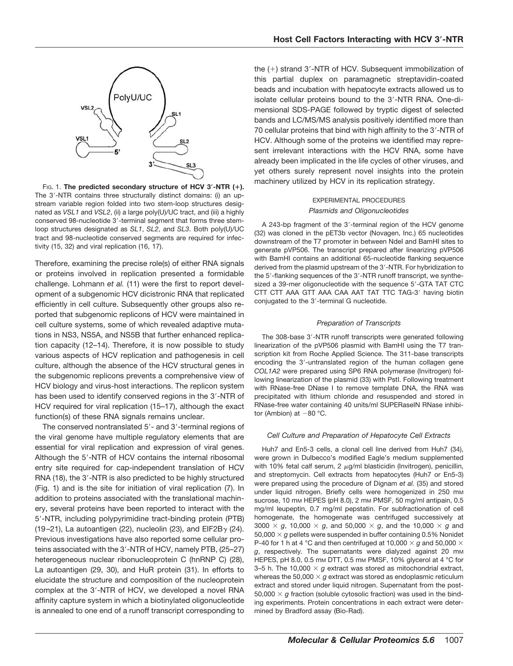

FIG. 1. **The predicted secondary structure of HCV 3-NTR ().** The 3'-NTR contains three structurally distinct domains: (i) an upstream variable region folded into two stem-loop structures designated as *VSL1* and *VSL2*, (ii) a large poly(U)/UC tract, and (iii) a highly conserved 98-nucleotide 3'-terminal segment that forms three stemloop structures designated as *SL1*, *SL2*, and *SL3*. Both poly(U)/UC tract and 98-nucleotide conserved segments are required for infectivity (15, 32) and viral replication (16, 17).

Therefore, examining the precise role(s) of either RNA signals or proteins involved in replication presented a formidable challenge. Lohmann *et al.* (11) were the first to report development of a subgenomic HCV dicistronic RNA that replicated efficiently in cell culture. Subsequently other groups also reported that subgenomic replicons of HCV were maintained in cell culture systems, some of which revealed adaptive mutations in NS3, NS5A, and NS5B that further enhanced replication capacity (12–14). Therefore, it is now possible to study various aspects of HCV replication and pathogenesis in cell culture, although the absence of the HCV structural genes in the subgenomic replicons prevents a comprehensive view of HCV biology and virus-host interactions. The replicon system has been used to identify conserved regions in the 3'-NTR of HCV required for viral replication (15–17), although the exact function(s) of these RNA signals remains unclear.

The conserved nontranslated 5'- and 3'-terminal regions of the viral genome have multiple regulatory elements that are essential for viral replication and expression of viral genes. Although the 5'-NTR of HCV contains the internal ribosomal entry site required for cap-independent translation of HCV RNA (18), the 3'-NTR is also predicted to be highly structured (Fig. 1) and is the site for initiation of viral replication (7). In addition to proteins associated with the translational machinery, several proteins have been reported to interact with the 5--NTR, including polypyrimidine tract-binding protein (PTB) (19–21), La autoantigen (22), nucleolin (23), and EIF2B $\gamma$  (24). Previous investigations have also reported some cellular proteins associated with the 3'-NTR of HCV, namely PTB, (25-27) heterogeneous nuclear ribonucleoprotein C (hnRNP C) (28), La autoantigen (29, 30), and HuR protein (31). In efforts to elucidate the structure and composition of the nucleoprotein complex at the 3'-NTR of HCV, we developed a novel RNA affinity capture system in which a biotinylated oligonucleotide is annealed to one end of a runoff transcript corresponding to

the (+) strand 3'-NTR of HCV. Subsequent immobilization of this partial duplex on paramagnetic streptavidin-coated beads and incubation with hepatocyte extracts allowed us to isolate cellular proteins bound to the 3'-NTR RNA. One-dimensional SDS-PAGE followed by tryptic digest of selected bands and LC/MS/MS analysis positively identified more than 70 cellular proteins that bind with high affinity to the 3'-NTR of HCV. Although some of the proteins we identified may represent irrelevant interactions with the HCV RNA, some have already been implicated in the life cycles of other viruses, and yet others surely represent novel insights into the protein machinery utilized by HCV in its replication strategy.

# EXPERIMENTAL PROCEDURES *Plasmids and Oligonucleotides*

A 243-bp fragment of the 3'-terminal region of the HCV genome (32) was cloned in the pET3b vector (Novagen, Inc.) 65 nucleotides downstream of the T7 promoter in between NdeI and BamHI sites to generate pVP506. The transcript prepared after linearizing pVP506 with BamHI contains an additional 65-nucleotide flanking sequence derived from the plasmid upstream of the 3'-NTR. For hybridization to the 5'-flanking sequences of the 3'-NTR runoff transcript, we synthesized a 39-mer oligonucleotide with the sequence 5'-GTA TAT CTC CTT CTT AAA GTT AAA CAA AAT TAT TTC TAG-3' having biotin conjugated to the 3'-terminal G nucleotide.

# *Preparation of Transcripts*

The 308-base 3'-NTR runoff transcripts were generated following linearization of the pVP506 plasmid with BamHI using the T7 transcription kit from Roche Applied Science. The 311-base transcripts encoding the 3'-untranslated region of the human collagen gene *COL1A2* were prepared using SP6 RNA polymerase (Invitrogen) following linearization of the plasmid (33) with PstI. Following treatment with RNase-free DNase I to remove template DNA, the RNA was precipitated with lithium chloride and resuspended and stored in RNase-free water containing 40 units/ml SUPERaseIN RNase inhibitor (Ambion) at  $-80$  °C.

# *Cell Culture and Preparation of Hepatocyte Cell Extracts*

Huh7 and En5-3 cells, a clonal cell line derived from Huh7 (34), were grown in Dulbecco's modified Eagle's medium supplemented with 10% fetal calf serum, 2  $\mu$ g/ml blasticidin (Invitrogen), penicillin, and streptomycin. Cell extracts from hepatocytes (Huh7 or En5-3) were prepared using the procedure of Dignam *et al.* (35) and stored under liquid nitrogen. Briefly cells were homogenized in 250 mm sucrose, 10 mm HEPES (pH 8.0), 2 mm PMSF, 50 mg/ml antipain, 0.5 mg/ml leupeptin, 0.7 mg/ml pepstatin. For subfractionation of cell homogenate, the homogenate was centrifuged successively at  $3000 \times g$ , 10,000  $\times g$ , and 50,000  $\times g$ , and the 10,000  $\times g$  and 50,000 *g* pellets were suspended in buffer containing 0.5% Nonidet P-40 for 1 h at 4 °C and then centrifuged at 10,000  $\times$  g and 50,000  $\times$ g, respectively. The supernatants were dialyzed against 20 mm HEPES, pH 8.0, 0.5 mm DTT, 0.5 mm PMSF, 10% glycerol at 4 °C for 3–5 h. The 10,000  $\times$  g extract was stored as mitochondrial extract, whereas the 50,000  $\times$  g extract was stored as endoplasmic reticulum extract and stored under liquid nitrogen. Supernatant from the post-50,000  $\times$  g fraction (soluble cytosolic fraction) was used in the binding experiments. Protein concentrations in each extract were determined by Bradford assay (Bio-Rad).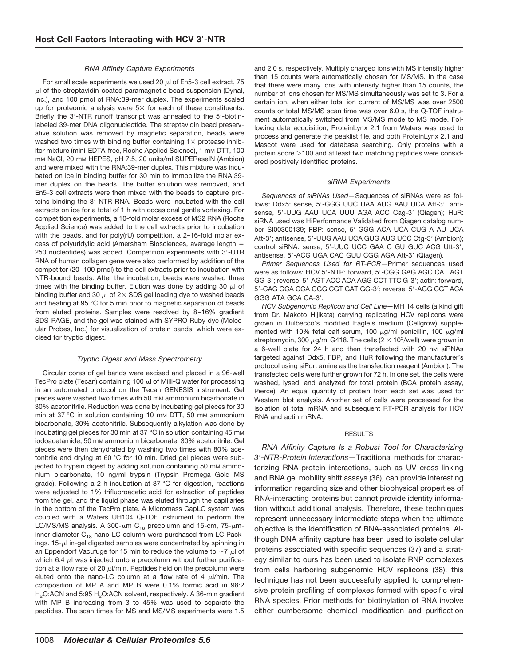### *RNA Affinity Capture Experiments*

For small scale experiments we used 20  $\mu$  of En5-3 cell extract, 75  $\mu$ l of the streptavidin-coated paramagnetic bead suspension (Dynal, Inc.), and 100 pmol of RNA:39-mer duplex. The experiments scaled up for proteomic analysis were  $5 \times$  for each of these constituents. Briefly the 3'-NTR runoff transcript was annealed to the 5'-biotinlabeled 39-mer DNA oligonucleotide. The streptavidin bead preservative solution was removed by magnetic separation, beads were washed two times with binding buffer containing  $1 \times$  protease inhibitor mixture (mini-EDTA-free, Roche Applied Science), 1 mm DTT, 100 mm NaCl, 20 mm HEPES, pH 7.5, 20 units/ml SUPERaseIN (Ambion) and were mixed with the RNA:39-mer duplex. This mixture was incubated on ice in binding buffer for 30 min to immobilize the RNA:39 mer duplex on the beads. The buffer solution was removed, and En5-3 cell extracts were then mixed with the beads to capture proteins binding the 3'-NTR RNA. Beads were incubated with the cell extracts on ice for a total of 1 h with occasional gentle vortexing. For competition experiments, a 10-fold molar excess of MS2 RNA (Roche Applied Science) was added to the cell extracts prior to incubation with the beads, and for poly(rU) competition, a 2-16-fold molar excess of polyuridylic acid (Amersham Biosciences, average length 250 nucleotides) was added. Competition experiments with 3'-UTR RNA of human collagen gene were also performed by addition of the competitor (20–100 pmol) to the cell extracts prior to incubation with NTR-bound beads. After the incubation, beads were washed three times with the binding buffer. Elution was done by adding 30  $\mu$  of binding buffer and 30  $\mu$ l of 2  $\times$  SDS gel loading dye to washed beads and heating at 95 °C for 5 min prior to magnetic separation of beads from eluted proteins. Samples were resolved by 8–16% gradient SDS-PAGE, and the gel was stained with SYPRO Ruby dye (Molecular Probes, Inc.) for visualization of protein bands, which were excised for tryptic digest.

# *Tryptic Digest and Mass Spectrometry*

Circular cores of gel bands were excised and placed in a 96-well TecPro plate (Tecan) containing 100  $\mu$  of Milli-Q water for processing in an automated protocol on the Tecan GENESIS instrument. Gel pieces were washed two times with 50 mm ammonium bicarbonate in 30% acetonitrile. Reduction was done by incubating gel pieces for 30 min at 37 °C in solution containing 10 mm DTT, 50 mm ammonium bicarbonate, 30% acetonitrile. Subsequently alkylation was done by incubating gel pieces for 30 min at 37 °C in solution containing 45 mM iodoacetamide, 50 mM ammonium bicarbonate, 30% acetonitrile. Gel pieces were then dehydrated by washing two times with 80% acetonitrile and drying at 60 °C for 10 min. Dried gel pieces were subjected to trypsin digest by adding solution containing 50 mm ammonium bicarbonate, 10 ng/ml trypsin (Trypsin Promega Gold MS grade). Following a 2-h incubation at 37 °C for digestion, reactions were adjusted to 1% trifluoroacetic acid for extraction of peptides from the gel, and the liquid phase was eluted through the capillaries in the bottom of the TecPro plate. A Micromass CapLC system was coupled with a Waters UH104 Q-TOF instrument to perform the LC/MS/MS analysis. A 300- $\mu$ m C<sub>18</sub> precolumn and 15-cm, 75- $\mu$ minner diameter  $C_{18}$  nano-LC column were purchased from LC Packings.  $15-\mu$  in-gel digested samples were concentrated by spinning in an Eppendorf Vacufuge for 15 min to reduce the volume to  $\sim$ 7  $\mu$ l of which 6.4  $\mu$  was injected onto a precolumn without further purification at a flow rate of 20  $\mu$ *l*/min. Peptides held on the precolumn were eluted onto the nano-LC column at a flow rate of 4  $\mu$ l/min. The composition of MP A and MP B were 0.1% formic acid in 98:2 H<sub>2</sub>O:ACN and 5:95 H<sub>2</sub>O:ACN solvent, respectively. A 36-min gradient with MP B increasing from 3 to 45% was used to separate the peptides. The scan times for MS and MS/MS experiments were 1.5 and 2.0 s, respectively. Multiply charged ions with MS intensity higher than 15 counts were automatically chosen for MS/MS. In the case that there were many ions with intensity higher than 15 counts, the number of ions chosen for MS/MS simultaneously was set to 3. For a certain ion, when either total ion current of MS/MS was over 2500 counts or total MS/MS scan time was over 6.0 s, the Q-TOF instrument automatically switched from MS/MS mode to MS mode. Following data acquisition, ProteinLynx 2.1 from Waters was used to process and generate the peaklist file, and both ProteinLynx 2.1 and Mascot were used for database searching. Only proteins with a protein score  $>$  100 and at least two matching peptides were considered positively identified proteins.

#### *siRNA Experiments*

*Sequences of siRNAs Used—*Sequences of siRNAs were as follows: Ddx5: sense, 5'-GGG UUC UAA AUG AAU UCA Att-3'; antisense, 5'-UUG AAU UCA UUU AGA ACC Cag-3' (Qiagen); HuR: siRNA used was HiPerformance Validated from Qiagen catalog number SI00300139; FBP: sense, 5'-GGG ACA UCA CUG A AU UCA Att-3'; antisense, 5'-UUG AAU UCA GUG AUG UCC Ctg-3' (Ambion); control siRNA: sense, 5'-UUC UCC GAA C GU GUC ACG Utt-3'; antisense, 5'-ACG UGA CAC GUU CGG AGA Att-3' (Qiagen).

*Primer Sequences Used for RT-PCR—*Primer sequences used were as follows: HCV 5'-NTR: forward, 5'-CGG GAG AGC CAT AGT GG-3'; reverse, 5'-AGT ACC ACA AGG CCT TTC G-3'; actin: forward, 5'-CAG GCA CCA GGG CGT GAT GG-3'; reverse, 5'-AGG CGT ACA GGG ATA GCA CA-3'.

*HCV Subgenomic Replicon and Cell Line—*MH 14 cells (a kind gift from Dr. Makoto Hijikata) carrying replicating HCV replicons were grown in Dulbecco's modified Eagle's medium (Cellgrow) supplemented with 10% fetal calf serum, 100  $\mu$ g/ml penicillin, 100  $\mu$ g/ml streptomycin, 300  $\mu$ g/ml G418. The cells (2  $\times$  10<sup>5</sup>/well) were grown in a 6-well plate for 24 h and then transfected with 20 nm siRNAs targeted against Ddx5, FBP, and HuR following the manufacturer's protocol using siPort amine as the transfection reagent (Ambion). The transfected cells were further grown for 72 h. In one set, the cells were washed, lysed, and analyzed for total protein (BCA protein assay, Pierce). An equal quantity of protein from each set was used for Western blot analysis. Another set of cells were processed for the isolation of total mRNA and subsequent RT-PCR analysis for HCV RNA and actin mRNA.

#### **RESULTS**

*RNA Affinity Capture Is a Robust Tool for Characterizing 3*-*-NTR-Protein Interactions—*Traditional methods for characterizing RNA-protein interactions, such as UV cross-linking and RNA gel mobility shift assays (36), can provide interesting information regarding size and other biophysical properties of RNA-interacting proteins but cannot provide identity information without additional analysis. Therefore, these techniques represent unnecessary intermediate steps when the ultimate objective is the identification of RNA-associated proteins. Although DNA affinity capture has been used to isolate cellular proteins associated with specific sequences (37) and a strategy similar to ours has been used to isolate RNP complexes from cells harboring subgenomic HCV replicons (38), this technique has not been successfully applied to comprehensive protein profiling of complexes formed with specific viral RNA species. Prior methods for biotinylation of RNA involve either cumbersome chemical modification and purification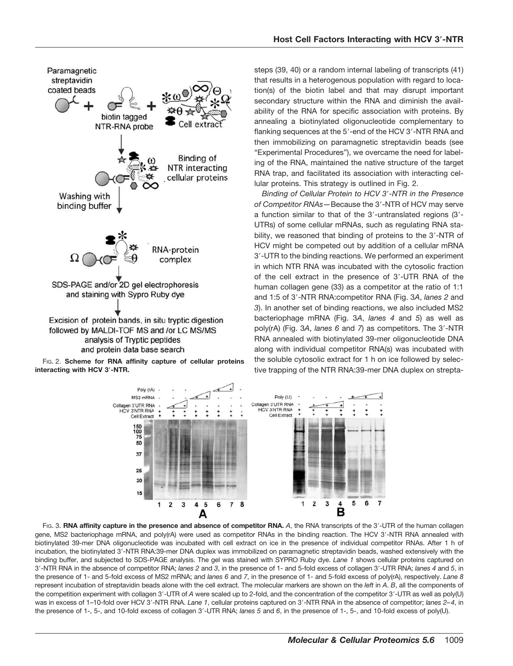

FIG. 2. **Scheme for RNA affinity capture of cellular proteins interacting with HCV 3-NTR.**

steps (39, 40) or a random internal labeling of transcripts (41) that results in a heterogenous population with regard to location(s) of the biotin label and that may disrupt important secondary structure within the RNA and diminish the availability of the RNA for specific association with proteins. By annealing a biotinylated oligonucleotide complementary to flanking sequences at the 5'-end of the HCV 3'-NTR RNA and then immobilizing on paramagnetic streptavidin beads (see "Experimental Procedures"), we overcame the need for labeling of the RNA, maintained the native structure of the target RNA trap, and facilitated its association with interacting cellular proteins. This strategy is outlined in Fig. 2.

*Binding of Cellular Protein to HCV 3*-*-NTR in the Presence* of Competitor RNAs-Because the 3'-NTR of HCV may serve a function similar to that of the 3'-untranslated regions (3'-UTRs) of some cellular mRNAs, such as regulating RNA stability, we reasoned that binding of proteins to the 3'-NTR of HCV might be competed out by addition of a cellular mRNA 3--UTR to the binding reactions. We performed an experiment in which NTR RNA was incubated with the cytosolic fraction of the cell extract in the presence of 3'-UTR RNA of the human collagen gene (33) as a competitor at the ratio of 1:1 and 1:5 of 3--NTR RNA:competitor RNA (Fig. 3*A*, *lanes 2* and *3*). In another set of binding reactions, we also included MS2 bacteriophage mRNA (Fig. 3*A*, *lanes 4* and *5*) as well as poly(rA) (Fig. 3*A*, *lanes 6* and *7*) as competitors. The 3--NTR RNA annealed with biotinylated 39-mer oligonucleotide DNA along with individual competitor RNA(s) was incubated with the soluble cytosolic extract for 1 h on ice followed by selective trapping of the NTR RNA:39-mer DNA duplex on strepta-



FIG. 3. RNA affinity capture in the presence and absence of competitor RNA. A, the RNA transcripts of the 3'-UTR of the human collagen gene, MS2 bacteriophage mRNA, and poly(rA) were used as competitor RNAs in the binding reaction. The HCV 3'-NTR RNA annealed with biotinylated 39-mer DNA oligonucleotide was incubated with cell extract on ice in the presence of individual competitor RNAs. After 1 h of incubation, the biotinylated 3'-NTR RNA:39-mer DNA duplex was immobilized on paramagnetic streptavidin beads, washed extensively with the binding buffer, and subjected to SDS-PAGE analysis. The gel was stained with SYPRO Ruby dye. *Lane 1* shows cellular proteins captured on 3--NTR RNA in the absence of competitor RNA; *lanes 2* and *3*, in the presence of 1- and 5-fold excess of collagen 3--UTR RNA; *lanes 4* and *5*, in the presence of 1- and 5-fold excess of MS2 mRNA; and *lanes 6* and *7*, in the presence of 1- and 5-fold excess of poly(rA), respectively. *Lane 8* represent incubation of streptavidin beads alone with the cell extract. The molecular markers are shown on the *left* in *A*. *B*, all the components of the competition experiment with collagen 3'-UTR of A were scaled up to 2-fold, and the concentration of the competitor 3'-UTR as well as poly(U) was in excess of 1-10-fold over HCV 3'-NTR RNA. Lane 1, cellular proteins captured on 3'-NTR RNA in the absence of competitor; *lanes 2-4*, in the presence of 1-, 5-, and 10-fold excess of collagen 3'-UTR RNA; *lanes 5* and 6, in the presence of 1-, 5-, and 10-fold excess of poly(U).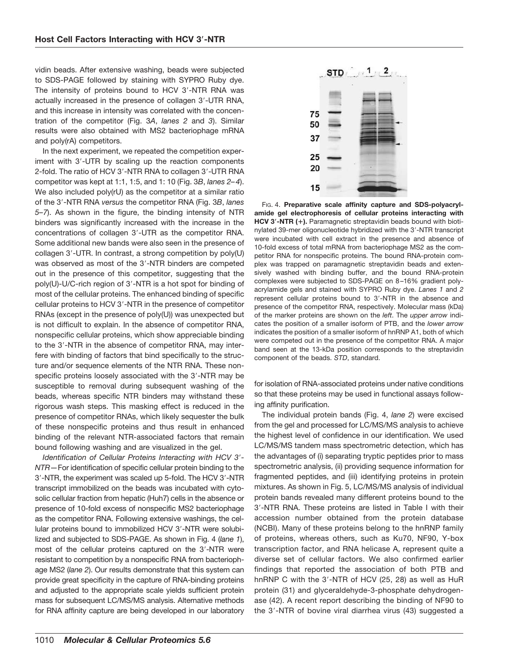vidin beads. After extensive washing, beads were subjected to SDS-PAGE followed by staining with SYPRO Ruby dye. The intensity of proteins bound to HCV 3'-NTR RNA was actually increased in the presence of collagen 3'-UTR RNA, and this increase in intensity was correlated with the concentration of the competitor (Fig. 3*A*, *lanes 2* and *3*). Similar results were also obtained with MS2 bacteriophage mRNA and poly(rA) competitors.

In the next experiment, we repeated the competition experiment with 3'-UTR by scaling up the reaction components 2-fold. The ratio of HCV 3'-NTR RNA to collagen 3'-UTR RNA competitor was kept at 1:1, 1:5, and 1: 10 (Fig. 3*B*, *lanes 2–4*). We also included poly(rU) as the competitor at a similar ratio of the 3--NTR RNA *versus* the competitor RNA (Fig. 3*B*, *lanes 5–7*). As shown in the figure, the binding intensity of NTR binders was significantly increased with the increase in the concentrations of collagen 3'-UTR as the competitor RNA. Some additional new bands were also seen in the presence of collagen 3--UTR. In contrast, a strong competition by poly(U) was observed as most of the 3'-NTR binders are competed out in the presence of this competitor, suggesting that the poly(U)-U/C-rich region of 3'-NTR is a hot spot for binding of most of the cellular proteins. The enhanced binding of specific cellular proteins to HCV 3'-NTR in the presence of competitor RNAs (except in the presence of poly(U)) was unexpected but is not difficult to explain. In the absence of competitor RNA, nonspecific cellular proteins, which show appreciable binding to the 3'-NTR in the absence of competitor RNA, may interfere with binding of factors that bind specifically to the structure and/or sequence elements of the NTR RNA. These nonspecific proteins loosely associated with the 3'-NTR may be susceptible to removal during subsequent washing of the beads, whereas specific NTR binders may withstand these rigorous wash steps. This masking effect is reduced in the presence of competitor RNAs, which likely sequester the bulk of these nonspecific proteins and thus result in enhanced binding of the relevant NTR-associated factors that remain bound following washing and are visualized in the gel.

*Identification of Cellular Proteins Interacting with HCV 3*-*- NTR—*For identification of specific cellular protein binding to the 3'-NTR, the experiment was scaled up 5-fold. The HCV 3'-NTR transcript immobilized on the beads was incubated with cytosolic cellular fraction from hepatic (Huh7) cells in the absence or presence of 10-fold excess of nonspecific MS2 bacteriophage as the competitor RNA. Following extensive washings, the cellular proteins bound to immobilized HCV 3'-NTR were solubilized and subjected to SDS-PAGE. As shown in Fig. 4 (*lane 1*), most of the cellular proteins captured on the 3--NTR were resistant to competition by a nonspecific RNA from bacteriophage MS2 (*lane 2*). Our results demonstrate that this system can provide great specificity in the capture of RNA-binding proteins and adjusted to the appropriate scale yields sufficient protein mass for subsequent LC/MS/MS analysis. Alternative methods for RNA affinity capture are being developed in our laboratory



FIG. 4. **Preparative scale affinity capture and SDS-polyacrylamide gel electrophoresis of cellular proteins interacting with HCV 3-NTR ().** Paramagnetic streptavidin beads bound with biotinylated 39-mer oligonucleotide hybridized with the 3'-NTR transcript were incubated with cell extract in the presence and absence of 10-fold excess of total mRNA from bacteriophage MS2 as the competitor RNA for nonspecific proteins. The bound RNA-protein complex was trapped on paramagnetic streptavidin beads and extensively washed with binding buffer, and the bound RNA-protein complexes were subjected to SDS-PAGE on 8–16% gradient polyacrylamide gels and stained with SYPRO Ruby dye. *Lanes 1* and *2* represent cellular proteins bound to 3'-NTR in the absence and presence of the competitor RNA, respectively. Molecular mass (kDa) of the marker proteins are shown on the *left*. The *upper arrow* indicates the position of a smaller isoform of PTB, and the *lower arrow* indicates the position of a smaller isoform of hnRNP A1, both of which were competed out in the presence of the competitor RNA. A major band seen at the 13-kDa position corresponds to the streptavidin component of the beads. *STD*, standard.

for isolation of RNA-associated proteins under native conditions so that these proteins may be used in functional assays following affinity purification.

The individual protein bands (Fig. 4, *lane 2*) were excised from the gel and processed for LC/MS/MS analysis to achieve the highest level of confidence in our identification. We used LC/MS/MS tandem mass spectrometric detection, which has the advantages of (i) separating tryptic peptides prior to mass spectrometric analysis, (ii) providing sequence information for fragmented peptides, and (iii) identifying proteins in protein mixtures. As shown in Fig. 5, LC/MS/MS analysis of individual protein bands revealed many different proteins bound to the 3--NTR RNA. These proteins are listed in Table I with their accession number obtained from the protein database (NCBI). Many of these proteins belong to the hnRNP family of proteins, whereas others, such as Ku70, NF90, Y-box transcription factor, and RNA helicase A, represent quite a diverse set of cellular factors. We also confirmed earlier findings that reported the association of both PTB and hnRNP C with the 3'-NTR of HCV (25, 28) as well as HuR protein (31) and glyceraldehyde-3-phosphate dehydrogenase (42). A recent report describing the binding of NF90 to the 3'-NTR of bovine viral diarrhea virus (43) suggested a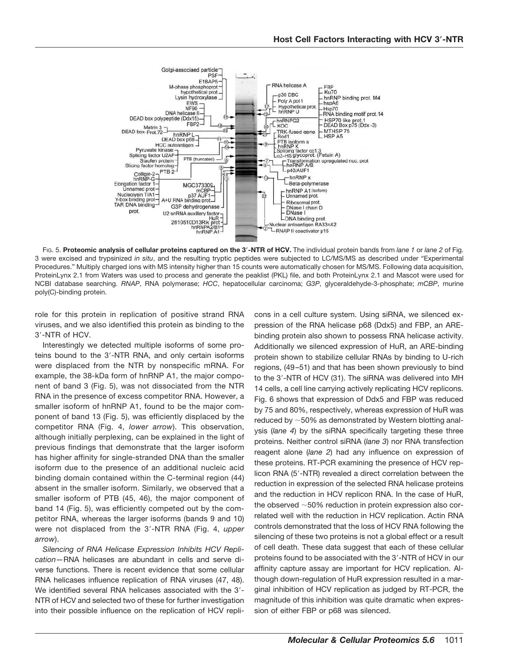

FIG. 5. **Proteomic analysis of cellular proteins captured on the 3-NTR of HCV.** The individual protein bands from *lane 1* or *lane 2* of Fig. 3 were excised and trypsinized *in situ*, and the resulting tryptic peptides were subjected to LC/MS/MS as described under "Experimental Procedures." Multiply charged ions with MS intensity higher than 15 counts were automatically chosen for MS/MS. Following data acquisition, ProteinLynx 2.1 from Waters was used to process and generate the peaklist (PKL) file, and both ProteinLynx 2.1 and Mascot were used for NCBI database searching. *RNAP*, RNA polymerase; *HCC*, hepatocellular carcinoma; *G3P*, glyceraldehyde-3-phosphate; *mCBP*, murine poly(C)-binding protein.

role for this protein in replication of positive strand RNA viruses, and we also identified this protein as binding to the 3--NTR of HCV.

Interestingly we detected multiple isoforms of some proteins bound to the 3'-NTR RNA, and only certain isoforms were displaced from the NTR by nonspecific mRNA. For example, the 38-kDa form of hnRNP A1, the major component of band 3 (Fig. 5), was not dissociated from the NTR RNA in the presence of excess competitor RNA. However, a smaller isoform of hnRNP A1, found to be the major component of band 13 (Fig. 5), was efficiently displaced by the competitor RNA (Fig. 4, *lower arrow*). This observation, although initially perplexing, can be explained in the light of previous findings that demonstrate that the larger isoform has higher affinity for single-stranded DNA than the smaller isoform due to the presence of an additional nucleic acid binding domain contained within the C-terminal region (44) absent in the smaller isoform. Similarly, we observed that a smaller isoform of PTB (45, 46), the major component of band 14 (Fig. 5), was efficiently competed out by the competitor RNA, whereas the larger isoforms (bands 9 and 10) were not displaced from the 3--NTR RNA (Fig. 4, *upper arrow*).

*Silencing of RNA Helicase Expression Inhibits HCV Replication—*RNA helicases are abundant in cells and serve diverse functions. There is recent evidence that some cellular RNA helicases influence replication of RNA viruses (47, 48). We identified several RNA helicases associated with the 3'-NTR of HCV and selected two of these for further investigation into their possible influence on the replication of HCV replicons in a cell culture system. Using siRNA, we silenced expression of the RNA helicase p68 (Ddx5) and FBP, an AREbinding protein also shown to possess RNA helicase activity. Additionally we silenced expression of HuR, an ARE-binding protein shown to stabilize cellular RNAs by binding to U-rich regions, (49–51) and that has been shown previously to bind to the 3'-NTR of HCV (31). The siRNA was delivered into MH 14 cells, a cell line carrying actively replicating HCV replicons. Fig. 6 shows that expression of Ddx5 and FBP was reduced by 75 and 80%, respectively, whereas expression of HuR was reduced by  $\sim$  50% as demonstrated by Western blotting analysis (*lane 4*) by the siRNA specifically targeting these three proteins. Neither control siRNA (*lane 3*) nor RNA transfection reagent alone (*lane 2*) had any influence on expression of these proteins. RT-PCR examining the presence of HCV replicon RNA (5'-NTR) revealed a direct correlation between the reduction in expression of the selected RNA helicase proteins and the reduction in HCV replicon RNA. In the case of HuR, the observed  $~50\%$  reduction in protein expression also correlated well with the reduction in HCV replication. Actin RNA controls demonstrated that the loss of HCV RNA following the silencing of these two proteins is not a global effect or a result of cell death. These data suggest that each of these cellular proteins found to be associated with the 3'-NTR of HCV in our affinity capture assay are important for HCV replication. Although down-regulation of HuR expression resulted in a marginal inhibition of HCV replication as judged by RT-PCR, the magnitude of this inhibition was quite dramatic when expression of either FBP or p68 was silenced.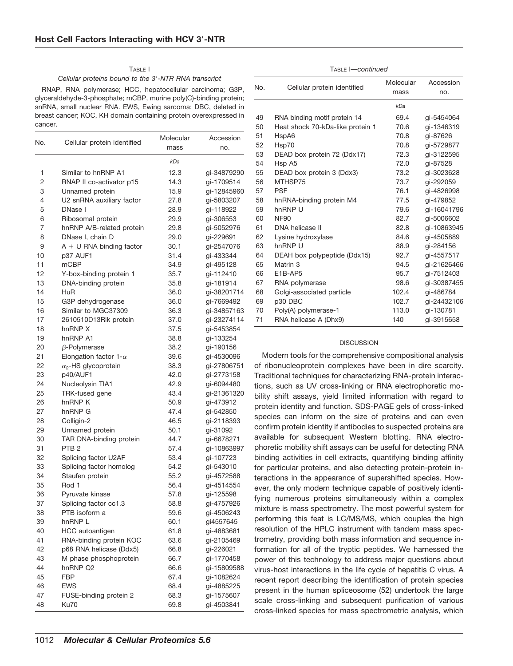# TABLE I

## *Cellular proteins bound to the 3*-*-NTR RNA transcript*

RNAP, RNA polymerase; HCC, hepatocellular carcinoma; G3P, glyceraldehyde-3-phosphate; mCBP, murine poly(C)-binding protein; snRNA, small nuclear RNA. EWS, Ewing sarcoma; DBC, deleted in breast cancer; KOC, KH domain containing protein overexpressed in cancer.

| No. | Cellular protein identified   | Molecular | Accession   |
|-----|-------------------------------|-----------|-------------|
|     |                               | mass      | no.         |
|     |                               | kDa       |             |
| 1   | Similar to hnRNP A1           | 12.3      | gi-34879290 |
| 2   | RNAP II co-activator p15      | 14.3      | gi-1709514  |
| 3   | Unnamed protein               | 15.9      | gi-12845960 |
| 4   | U2 snRNA auxiliary factor     | 27.8      | gi-5803207  |
| 5   | DNase I                       | 28.9      | gi-118922   |
| 6   | Ribosomal protein             | 29.9      | gi-306553   |
| 7   | hnRNP A/B-related protein     | 29.8      | gi-5052976  |
| 8   | DNase I, chain D              | 29.0      | gi-229691   |
| 9   | $A + U$ RNA binding factor    | 30.1      | qi-2547076  |
| 10  | p37 AUF1                      | 31.4      | gi-433344   |
| 11  | mCBP                          | 34.9      | gi-495128   |
| 12  | Y-box-binding protein 1       | 35.7      | gi-112410   |
| 13  | DNA-binding protein           | 35.8      | gi-181914   |
| 14  | <b>HuR</b>                    | 36.0      | gi-38201714 |
| 15  | G3P dehydrogenase             | 36.0      | gi-7669492  |
| 16  | Similar to MGC37309           | 36.3      | gi-34857163 |
| 17  | 2610510D13Rik protein         | 37.0      | gi-23274114 |
| 18  | hnRNP X                       | 37.5      | gi-5453854  |
| 19  | hnRNP A1                      | 38.8      | gi-133254   |
| 20  | $\beta$ -Polymerase           | 38.2      | gi-190156   |
| 21  | Elongation factor 1- $\alpha$ | 39.6      | gi-4530096  |
| 22  | $\alpha_2$ -HS glycoprotein   | 38.3      | gi-27806751 |
| 23  | p40/AUF1                      | 42.0      | gi-2773158  |
| 24  | Nucleolysin TIA1              | 42.9      | gi-6094480  |
| 25  | TRK-fused gene                | 43.4      | gi-21361320 |
| 26  | hnRNP K                       | 50.9      | gi-473912   |
| 27  | hnRNP G                       | 47.4      | gi-542850   |
| 28  | Colligin-2                    | 46.5      | gi-2118393  |
| 29  | Unnamed protein               | 50.1      | gi-31092    |
| 30  | TAR DNA-binding protein       | 44.7      | gi-6678271  |
| 31  | PTB <sub>2</sub>              | 57.4      | gi-10863997 |
| 32  | Splicing factor U2AF          | 53.4      | gi-107723   |
| 33  | Splicing factor homolog       | 54.2      | gi-543010   |
| 34  | Staufen protein               | 55.2      | gi-4572588  |
| 35  | Rod 1                         | 56.4      | gi-4514554  |
| 36  | Pyruvate kinase               | 57.8      | gi-125598   |
| 37  | Splicing factor cc1.3         | 58.8      | gi-4757926  |
| 38  | PTB isoform a                 | 59.6      | gi-4506243  |
| 39  | hnRNP L                       | 60.1      | gi4557645   |
| 40  | HCC autoantigen               | 61.8      | gi-4883681  |
| 41  | RNA-binding protein KOC       | 63.6      | gi-2105469  |
| 42  | p68 RNA helicase (Ddx5)       | 66.8      | qi-226021   |
| 43  | M phase phosphoprotein        | 66.7      | gi-1770458  |
| 44  | hnRNP Q2                      | 66.6      | gi-15809588 |
| 45  | <b>FBP</b>                    | 67.4      | gi-1082624  |
| 46  | <b>EWS</b>                    | 68.4      | gi-4885225  |
| 47  | FUSE-binding protein 2        | 68.3      | gi-1575607  |
| 48  | Ku70                          | 69.8      |             |
|     |                               |           | gi-4503841  |

| TABLE <i>I—continued</i> |
|--------------------------|
|                          |

| No. | Cellular protein identified      | Molecular<br>mass | Accession<br>no. |
|-----|----------------------------------|-------------------|------------------|
|     |                                  | kDa               |                  |
| 49  | RNA binding motif protein 14     | 69.4              | qi-5454064       |
| 50  | Heat shock 70-kDa-like protein 1 | 70.6              | qi-1346319       |
| 51  | HspA6                            | 70.8              | qi-87626         |
| 52  | Hsp70                            | 70.8              | gi-5729877       |
| 53  | DEAD box protein 72 (Ddx17)      | 72.3              | gi-3122595       |
| 54  | Hsp A5                           | 72.0              | qi-87528         |
| 55  | DEAD box protein 3 (Ddx3)        | 73.2              | qi-3023628       |
| 56  | MTHSP75                          | 73.7              | qi-292059        |
| 57  | <b>PSF</b>                       | 76.1              | qi-4826998       |
| 58  | hnRNA-binding protein M4         | 77.5              | qi-479852        |
| 59  | hnRNP U                          | 79.6              | qi-16041796      |
| 60  | <b>NF90</b>                      | 82.7              | qi-5006602       |
| 61  | DNA helicase II                  | 82.8              | qi-10863945      |
| 62  | Lysine hydroxylase               | 84.6              | qi-4505889       |
| 63  | hnRNP U                          | 88.9              | qi-284156        |
| 64  | DEAH box polypeptide (Ddx15)     | 92.7              | gi-4557517       |
| 65  | Matrin <sub>3</sub>              | 94.5              | qi-21626466      |
| 66  | E1B-AP5                          | 95.7              | qi-7512403       |
| 67  | RNA polymerase                   | 98.6              | gi-30387455      |
| 68  | Golgi-associated particle        | 102.4             | qi-486784        |
| 69  | p30 DBC                          | 102.7             | qi-24432106      |
| 70  | Poly(A) polymerase-1             | 113.0             | qi-130781        |
| 71  | RNA helicase A (Dhx9)            | 140               | qi-3915658       |
|     |                                  |                   |                  |

# **DISCUSSION**

Modern tools for the comprehensive compositional analysis of ribonucleoprotein complexes have been in dire scarcity. Traditional techniques for characterizing RNA-protein interactions, such as UV cross-linking or RNA electrophoretic mobility shift assays, yield limited information with regard to protein identity and function. SDS-PAGE gels of cross-linked species can inform on the size of proteins and can even confirm protein identity if antibodies to suspected proteins are available for subsequent Western blotting. RNA electrophoretic mobility shift assays can be useful for detecting RNA binding activities in cell extracts, quantifying binding affinity for particular proteins, and also detecting protein-protein interactions in the appearance of supershifted species. However, the only modern technique capable of positively identifying numerous proteins simultaneously within a complex mixture is mass spectrometry. The most powerful system for performing this feat is LC/MS/MS, which couples the high resolution of the HPLC instrument with tandem mass spectrometry, providing both mass information and sequence information for all of the tryptic peptides. We harnessed the power of this technology to address major questions about virus-host interactions in the life cycle of hepatitis C virus. A recent report describing the identification of protein species present in the human spliceosome (52) undertook the large scale cross-linking and subsequent purification of various cross-linked species for mass spectrometric analysis, which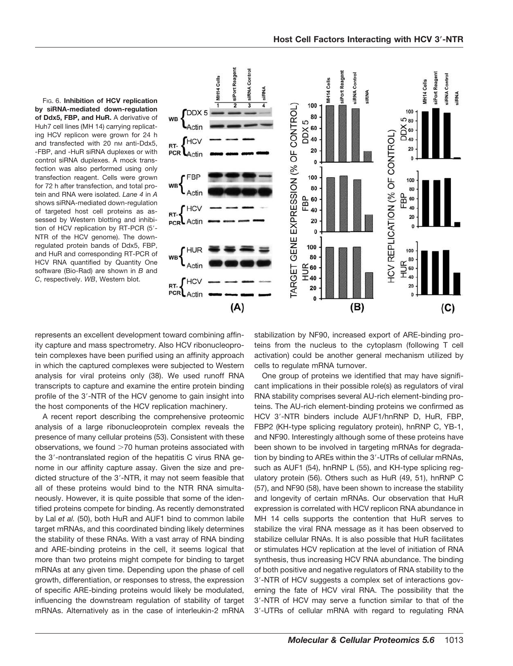

FIG. 6. **Inhibition of HCV replication by siRNA-mediated down-regulation of Ddx5, FBP, and HuR.** A derivative of Huh7 cell lines (MH 14) carrying replicating HCV replicon were grown for 24 h and transfected with 20 nm anti-Ddx5, -FBP, and -HuR siRNA duplexes or with control siRNA duplexes. A mock transfection was also performed using only transfection reagent. Cells were grown for 72 h after transfection, and total protein and RNA were isolated. *Lane 4* in *A* shows siRNA-mediated down-regulation of targeted host cell proteins as assessed by Western blotting and inhibition of HCV replication by RT-PCR (5'-NTR of the HCV genome). The downregulated protein bands of Ddx5, FBP, and HuR and corresponding RT-PCR of HCV RNA quantified by Quantity One software (Bio-Rad) are shown in *B* and *C*, respectively. *WB*, Western blot.

represents an excellent development toward combining affinity capture and mass spectrometry. Also HCV ribonucleoprotein complexes have been purified using an affinity approach in which the captured complexes were subjected to Western analysis for viral proteins only (38). We used runoff RNA transcripts to capture and examine the entire protein binding profile of the 3'-NTR of the HCV genome to gain insight into the host components of the HCV replication machinery.

A recent report describing the comprehensive proteomic analysis of a large ribonucleoprotein complex reveals the presence of many cellular proteins (53). Consistent with these observations, we found  $>70$  human proteins associated with the 3'-nontranslated region of the hepatitis C virus RNA genome in our affinity capture assay. Given the size and predicted structure of the 3'-NTR, it may not seem feasible that all of these proteins would bind to the NTR RNA simultaneously. However, it is quite possible that some of the identified proteins compete for binding. As recently demonstrated by Lal *et al.* (50), both HuR and AUF1 bind to common labile target mRNAs, and this coordinated binding likely determines the stability of these RNAs. With a vast array of RNA binding and ARE-binding proteins in the cell, it seems logical that more than two proteins might compete for binding to target mRNAs at any given time. Depending upon the phase of cell growth, differentiation, or responses to stress, the expression of specific ARE-binding proteins would likely be modulated, influencing the downstream regulation of stability of target mRNAs. Alternatively as in the case of interleukin-2 mRNA

stabilization by NF90, increased export of ARE-binding proteins from the nucleus to the cytoplasm (following T cell activation) could be another general mechanism utilized by cells to regulate mRNA turnover.

One group of proteins we identified that may have significant implications in their possible role(s) as regulators of viral RNA stability comprises several AU-rich element-binding proteins. The AU-rich element-binding proteins we confirmed as HCV 3'-NTR binders include AUF1/hnRNP D, HuR, FBP, FBP2 (KH-type splicing regulatory protein), hnRNP C, YB-1, and NF90. Interestingly although some of these proteins have been shown to be involved in targeting mRNAs for degradation by binding to AREs within the 3'-UTRs of cellular mRNAs, such as AUF1 (54), hnRNP L (55), and KH-type splicing regulatory protein (56). Others such as HuR (49, 51), hnRNP C (57), and NF90 (58), have been shown to increase the stability and longevity of certain mRNAs. Our observation that HuR expression is correlated with HCV replicon RNA abundance in MH 14 cells supports the contention that HuR serves to stabilize the viral RNA message as it has been observed to stabilize cellular RNAs. It is also possible that HuR facilitates or stimulates HCV replication at the level of initiation of RNA synthesis, thus increasing HCV RNA abundance. The binding of both positive and negative regulators of RNA stability to the 3--NTR of HCV suggests a complex set of interactions governing the fate of HCV viral RNA. The possibility that the 3--NTR of HCV may serve a function similar to that of the 3--UTRs of cellular mRNA with regard to regulating RNA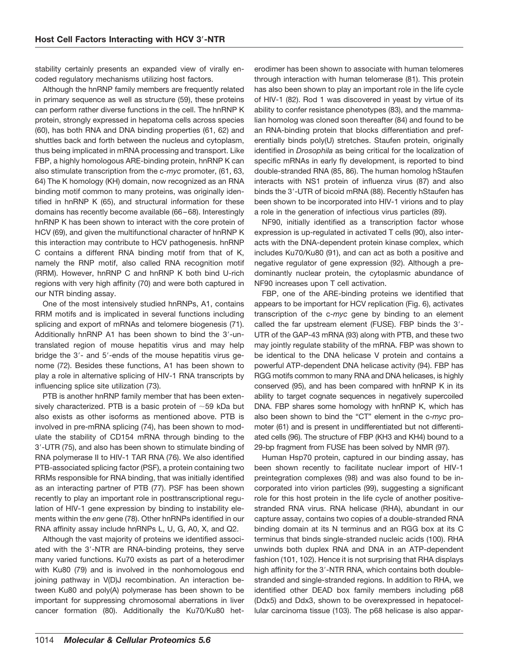stability certainly presents an expanded view of virally encoded regulatory mechanisms utilizing host factors.

Although the hnRNP family members are frequently related in primary sequence as well as structure (59), these proteins can perform rather diverse functions in the cell. The hnRNP K protein, strongly expressed in hepatoma cells across species (60), has both RNA and DNA binding properties (61, 62) and shuttles back and forth between the nucleus and cytoplasm, thus being implicated in mRNA processing and transport. Like FBP, a highly homologous ARE-binding protein, hnRNP K can also stimulate transcription from the c-*myc* promoter, (61, 63, 64) The K homology (KH) domain, now recognized as an RNA binding motif common to many proteins, was originally identified in hnRNP K (65), and structural information for these domains has recently become available (66–68). Interestingly hnRNP K has been shown to interact with the core protein of HCV (69), and given the multifunctional character of hnRNP K this interaction may contribute to HCV pathogenesis. hnRNP C contains a different RNA binding motif from that of K, namely the RNP motif, also called RNA recognition motif (RRM). However, hnRNP C and hnRNP K both bind U-rich regions with very high affinity (70) and were both captured in our NTR binding assay.

One of the most intensively studied hnRNPs, A1, contains RRM motifs and is implicated in several functions including splicing and export of mRNAs and telomere biogenesis (71). Additionally hnRNP A1 has been shown to bind the 3'-untranslated region of mouse hepatitis virus and may help bridge the 3'- and 5'-ends of the mouse hepatitis virus genome (72). Besides these functions, A1 has been shown to play a role in alternative splicing of HIV-1 RNA transcripts by influencing splice site utilization (73).

PTB is another hnRNP family member that has been extensively characterized. PTB is a basic protein of  $\sim$  59 kDa but also exists as other isoforms as mentioned above. PTB is involved in pre-mRNA splicing (74), has been shown to modulate the stability of CD154 mRNA through binding to the 3--UTR (75), and also has been shown to stimulate binding of RNA polymerase II to HIV-1 TAR RNA (76). We also identified PTB-associated splicing factor (PSF), a protein containing two RRMs responsible for RNA binding, that was initially identified as an interacting partner of PTB (77). PSF has been shown recently to play an important role in posttranscriptional regulation of HIV-1 gene expression by binding to instability elements within the *env* gene (78). Other hnRNPs identified in our RNA affinity assay include hnRNPs L, U, G, A0, X, and Q2.

Although the vast majority of proteins we identified associated with the 3'-NTR are RNA-binding proteins, they serve many varied functions. Ku70 exists as part of a heterodimer with Ku80 (79) and is involved in the nonhomologous end joining pathway in V(D)J recombination. An interaction between Ku80 and poly(A) polymerase has been shown to be important for suppressing chromosomal aberrations in liver cancer formation (80). Additionally the Ku70/Ku80 heterodimer has been shown to associate with human telomeres through interaction with human telomerase (81). This protein has also been shown to play an important role in the life cycle of HIV-1 (82). Rod 1 was discovered in yeast by virtue of its ability to confer resistance phenotypes (83), and the mammalian homolog was cloned soon thereafter (84) and found to be an RNA-binding protein that blocks differentiation and preferentially binds poly(U) stretches. Staufen protein, originally identified in *Drosophila* as being critical for the localization of specific mRNAs in early fly development, is reported to bind double-stranded RNA (85, 86). The human homolog hStaufen interacts with NS1 protein of influenza virus (87) and also binds the 3'-UTR of bicoid mRNA (88). Recently hStaufen has been shown to be incorporated into HIV-1 virions and to play a role in the generation of infectious virus particles (89).

NF90, initially identified as a transcription factor whose expression is up-regulated in activated T cells (90), also interacts with the DNA-dependent protein kinase complex, which includes Ku70/Ku80 (91), and can act as both a positive and negative regulator of gene expression (92). Although a predominantly nuclear protein, the cytoplasmic abundance of NF90 increases upon T cell activation.

FBP, one of the ARE-binding proteins we identified that appears to be important for HCV replication (Fig. 6), activates transcription of the c-*myc* gene by binding to an element called the far upstream element (FUSE). FBP binds the 3'-UTR of the GAP-43 mRNA (93) along with PTB, and these two may jointly regulate stability of the mRNA. FBP was shown to be identical to the DNA helicase V protein and contains a powerful ATP-dependent DNA helicase activity (94). FBP has RGG motifs common to many RNA and DNA helicases, is highly conserved (95), and has been compared with hnRNP K in its ability to target cognate sequences in negatively supercoiled DNA. FBP shares some homology with hnRNP K, which has also been shown to bind the "CT" element in the c-*myc* promoter (61) and is present in undifferentiated but not differentiated cells (96). The structure of FBP (KH3 and KH4) bound to a 29-bp fragment from FUSE has been solved by NMR (97).

Human Hsp70 protein, captured in our binding assay, has been shown recently to facilitate nuclear import of HIV-1 preintegration complexes (98) and was also found to be incorporated into virion particles (99), suggesting a significant role for this host protein in the life cycle of another positivestranded RNA virus. RNA helicase (RHA), abundant in our capture assay, contains two copies of a double-stranded RNA binding domain at its N terminus and an RGG box at its C terminus that binds single-stranded nucleic acids (100). RHA unwinds both duplex RNA and DNA in an ATP-dependent fashion (101, 102). Hence it is not surprising that RHA displays high affinity for the 3'-NTR RNA, which contains both doublestranded and single-stranded regions. In addition to RHA, we identified other DEAD box family members including p68 (Ddx5) and Ddx3, shown to be overexpressed in hepatocellular carcinoma tissue (103). The p68 helicase is also appar-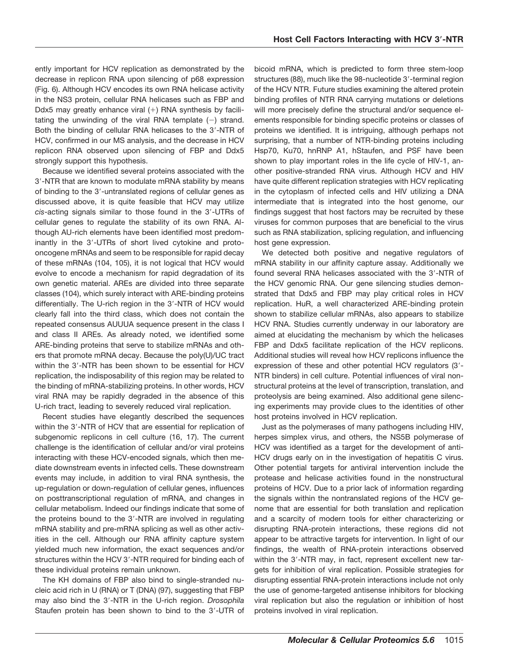ently important for HCV replication as demonstrated by the decrease in replicon RNA upon silencing of p68 expression (Fig. 6). Although HCV encodes its own RNA helicase activity in the NS3 protein, cellular RNA helicases such as FBP and Ddx5 may greatly enhance viral  $(+)$  RNA synthesis by facilitating the unwinding of the viral RNA template  $(-)$  strand. Both the binding of cellular RNA helicases to the 3'-NTR of HCV, confirmed in our MS analysis, and the decrease in HCV replicon RNA observed upon silencing of FBP and Ddx5 strongly support this hypothesis.

Because we identified several proteins associated with the 3--NTR that are known to modulate mRNA stability by means of binding to the 3'-untranslated regions of cellular genes as discussed above, it is quite feasible that HCV may utilize cis-acting signals similar to those found in the 3'-UTRs of cellular genes to regulate the stability of its own RNA. Although AU-rich elements have been identified most predominantly in the 3'-UTRs of short lived cytokine and protooncogene mRNAs and seem to be responsible for rapid decay of these mRNAs (104, 105), it is not logical that HCV would evolve to encode a mechanism for rapid degradation of its own genetic material. AREs are divided into three separate classes (104), which surely interact with ARE-binding proteins differentially. The U-rich region in the 3'-NTR of HCV would clearly fall into the third class, which does not contain the repeated consensus AUUUA sequence present in the class I and class II AREs. As already noted, we identified some ARE-binding proteins that serve to stabilize mRNAs and others that promote mRNA decay. Because the poly(U)/UC tract within the 3'-NTR has been shown to be essential for HCV replication, the indisposability of this region may be related to the binding of mRNA-stabilizing proteins. In other words, HCV viral RNA may be rapidly degraded in the absence of this U-rich tract, leading to severely reduced viral replication.

Recent studies have elegantly described the sequences within the 3'-NTR of HCV that are essential for replication of subgenomic replicons in cell culture (16, 17). The current challenge is the identification of cellular and/or viral proteins interacting with these HCV-encoded signals, which then mediate downstream events in infected cells. These downstream events may include, in addition to viral RNA synthesis, the up-regulation or down-regulation of cellular genes, influences on posttranscriptional regulation of mRNA, and changes in cellular metabolism. Indeed our findings indicate that some of the proteins bound to the 3'-NTR are involved in regulating mRNA stability and pre-mRNA splicing as well as other activities in the cell. Although our RNA affinity capture system yielded much new information, the exact sequences and/or structures within the HCV 3'-NTR required for binding each of these individual proteins remain unknown.

The KH domains of FBP also bind to single-stranded nucleic acid rich in U (RNA) or T (DNA) (97), suggesting that FBP may also bind the 3--NTR in the U-rich region. *Drosophila* Staufen protein has been shown to bind to the 3'-UTR of bicoid mRNA, which is predicted to form three stem-loop structures (88), much like the 98-nucleotide 3'-terminal region of the HCV NTR. Future studies examining the altered protein binding profiles of NTR RNA carrying mutations or deletions will more precisely define the structural and/or sequence elements responsible for binding specific proteins or classes of proteins we identified. It is intriguing, although perhaps not surprising, that a number of NTR-binding proteins including Hsp70, Ku70, hnRNP A1, hStaufen, and PSF have been shown to play important roles in the life cycle of HIV-1, another positive-stranded RNA virus. Although HCV and HIV have quite different replication strategies with HCV replicating in the cytoplasm of infected cells and HIV utilizing a DNA intermediate that is integrated into the host genome, our findings suggest that host factors may be recruited by these viruses for common purposes that are beneficial to the virus such as RNA stabilization, splicing regulation, and influencing host gene expression.

We detected both positive and negative regulators of mRNA stability in our affinity capture assay. Additionally we found several RNA helicases associated with the 3'-NTR of the HCV genomic RNA. Our gene silencing studies demonstrated that Ddx5 and FBP may play critical roles in HCV replication. HuR, a well characterized ARE-binding protein shown to stabilize cellular mRNAs, also appears to stabilize HCV RNA. Studies currently underway in our laboratory are aimed at elucidating the mechanism by which the helicases FBP and Ddx5 facilitate replication of the HCV replicons. Additional studies will reveal how HCV replicons influence the expression of these and other potential HCV regulators (3'-NTR binders) in cell culture. Potential influences of viral nonstructural proteins at the level of transcription, translation, and proteolysis are being examined. Also additional gene silencing experiments may provide clues to the identities of other host proteins involved in HCV replication.

Just as the polymerases of many pathogens including HIV, herpes simplex virus, and others, the NS5B polymerase of HCV was identified as a target for the development of anti-HCV drugs early on in the investigation of hepatitis C virus. Other potential targets for antiviral intervention include the protease and helicase activities found in the nonstructural proteins of HCV. Due to a prior lack of information regarding the signals within the nontranslated regions of the HCV genome that are essential for both translation and replication and a scarcity of modern tools for either characterizing or disrupting RNA-protein interactions, these regions did not appear to be attractive targets for intervention. In light of our findings, the wealth of RNA-protein interactions observed within the 3'-NTR may, in fact, represent excellent new targets for inhibition of viral replication. Possible strategies for disrupting essential RNA-protein interactions include not only the use of genome-targeted antisense inhibitors for blocking viral replication but also the regulation or inhibition of host proteins involved in viral replication.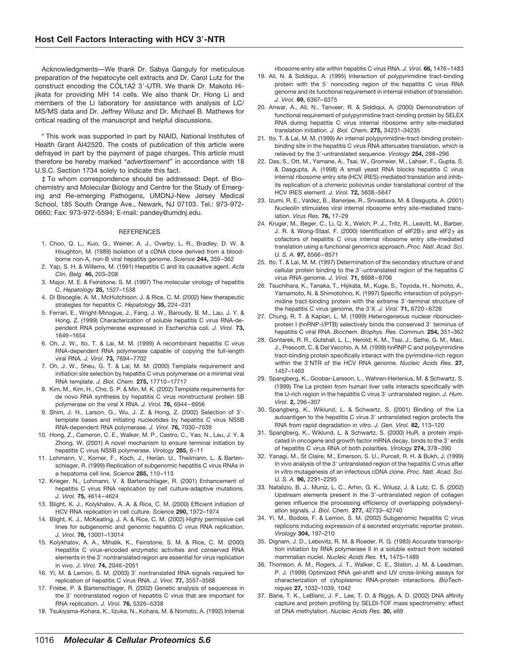Acknowledgments—We thank Dr. Sabya Ganguly for meticulous preparation of the hepatocyte cell extracts and Dr. Carol Lutz for the construct encoding the COL1A2 3'-UTR. We thank Dr. Makoto Hijikata for providing MH 14 cells. We also thank Dr. Hong Li and members of the Li laboratory for assistance with analysis of LC/ MS/MS data and Dr. Jeffrey Wilusz and Dr. Michael B. Mathews for critical reading of the manuscript and helpful discussions.

\* This work was supported in part by NIAID, National Institutes of Health Grant AI42520. The costs of publication of this article were defrayed in part by the payment of page charges. This article must therefore be hereby marked "*advertisement*" in accordance with 18 U.S.C. Section 1734 solely to indicate this fact.

‡ To whom correspondence should be addressed: Dept. of Biochemistry and Molecular Biology and Centre for the Study of Emerging and Re-emerging Pathogens, UMDNJ-New Jersey Medical School, 185 South Orange Ave., Newark, NJ 07103. Tel.: 973-972- 0660; Fax: 973-972-5594; E-mail: pandey@umdnj.edu.

#### **REFERENCES**

- 1. Choo, Q. L., Kuo, G., Weiner, A. J., Overby, L. R., Bradley, D. W. & Houghton, M. (1989) Isolation of a cDNA clone derived from a bloodborne non-A, non-B viral hepatitis genome. *Science* **244,** 359–362
- 2. Yap, S. H. & Willems, M. (1991) Hepatitis C and its causative agent. *Acta Clin. Belg.* **46,** 203–208
- 3. Major, M. E. & Feinstone, S. M. (1997) The molecular virology of hepatitis C. *Hepatology* **25,** 1527–1538
- 4. Di Bisceglie, A. M., McHutchison, J. & Rice, C. M. (2002) New therapeutic strategies for hepatitis C. *Hepatology* **35,** 224–231
- 5. Ferrari, E., Wright-Minogue, J., Fang, J. W., Baroudy, B. M., Lau, J. Y. & Hong, Z. (1999) Characterization of soluble hepatitis C virus RNA-dependent RNA polymerase expressed in Escherichia coli. *J. Virol.* **73,** 1649–1654
- 6. Oh, J. W., Ito, T. & Lai, M. M. (1999) A recombinant hepatitis C virus RNA-dependent RNA polymerase capable of copying the full-length viral RNA. *J. Virol.* **73,** 7694–7702
- 7. Oh, J. W., Sheu, G. T. & Lai, M. M. (2000) Template requirement and initiation site selection by hepatitis C virus polymerase on a minimal viral RNA template. *J. Biol. Chem.* **275,** 17710–17717
- 8. Kim, M., Kim, H., Cho, S. P. & Min, M. K. (2002) Template requirements for de novo RNA synthesis by hepatitis C virus nonstructural protein 5B polymerase on the viral X RNA. *J. Virol.* **76,** 6944–6956
- 9. Shim, J. H., Larson, G., Wu, J. Z. & Hong, Z. (2002) Selection of 3'template bases and initiating nucleotides by hepatitis C virus NS5B RNA-dependent RNA polymerase. *J. Virol.* **76,** 7030–7039
- 10. Hong, Z., Cameron, C. E., Walker, M. P., Castro, C., Yao, N., Lau, J. Y. & Zhong, W. (2001) A novel mechanism to ensure terminal initiation by hepatitis C virus NS5B polymerase. *Virology* **285,** 6–11
- 11. Lohmann, V., Korner, F., Koch, J., Herian, U., Theilmann, L. & Bartenschlager, R. (1999) Replication of subgenomic hepatitis C virus RNAs in a hepatoma cell line. *Science* **285,** 110–113
- 12. Krieger, N., Lohmann, V. & Bartenschlager, R. (2001) Enhancement of hepatitis C virus RNA replication by cell culture-adaptive mutations. *J. Virol.* **75,** 4614–4624
- 13. Blight, K. J., Kolykhalov, A. A. & Rice, C. M. (2000) Efficient initiation of HCV RNA replication in cell culture. *Science* **290,** 1972–1974
- 14. Blight, K. J., McKeating, J. A. & Rice, C. M. (2002) Highly permissive cell lines for subgenomic and genomic hepatitis C virus RNA replication. *J. Virol.* **76,** 13001–13014
- 15. Kolykhalov, A. A., Mihalik, K., Feinstone, S. M. & Rice, C. M. (2000) Hepatitis C virus-encoded enzymatic activities and conserved RNA elements in the 3' nontranslated region are essential for virus replication in vivo. *J. Virol.* **74,** 2046–2051
- 16. Yi, M. & Lemon, S. M. (2003) 3' nontranslated RNA signals required for replication of hepatitis C virus RNA. *J. Virol.* **77,** 3557–3568
- 17. Friebe, P. & Bartenschlager, R. (2002) Genetic analysis of sequences in the 3' nontranslated region of hepatitis C virus that are important for RNA replication. *J. Virol.* **76,** 5326–5338
- 18. Tsukiyama-Kohara, K., Iizuka, N., Kohara, M. & Nomoto, A. (1992) Internal

ribosome entry site within hepatitis C virus RNA. *J. Virol.* **66,** 1476–1483

- 19. Ali, N. & Siddiqui, A. (1995) Interaction of polypyrimidine tract-binding protein with the 5' noncoding region of the hepatitis C virus RNA genome and its functional requirement in internal initiation of translation. *J. Virol.* **69,** 6367–6375
- 20. Anwar, A., Ali, N., Tanveer, R. & Siddiqui, A. (2000) Demonstration of functional requirement of polypyrimidine tract-binding protein by SELEX RNA during hepatitis C virus internal ribosome entry site-mediated translation initiation. *J. Biol. Chem.* **275,** 34231–34235
- 21. Ito, T. & Lai, M. M. (1999) An internal polypyrimidine-tract-binding proteinbinding site in the hepatitis C virus RNA attenuates translation, which is relieved by the 3'-untranslated sequence. *Virology* 254, 288-296
- 22. Das, S., Ott, M., Yamane, A., Tsai, W., Gromeier, M., Lahser, F., Gupta, S. & Dasgupta, A. (1998) A small yeast RNA blocks hepatitis C virus internal ribosome entry site (HCV IRES)-mediated translation and inhibits replication of a chimeric poliovirus under translational control of the HCV IRES element. *J. Virol.* **72,** 5638–5647
- 23. Izumi, R. E., Valdez, B., Banerjee, R., Srivastava, M. & Dasgupta, A. (2001) Nucleolin stimulates viral internal ribosome entry site-mediated translation. *Virus Res.* **76,** 17–29
- 24. Kruger, M., Beger, C., Li, Q. X., Welch, P. J., Tritz, R., Leavitt, M., Barber, J. R. & Wong-Staal, F. (2000) Identification of eIF2B $\gamma$  and eIF2 $\gamma$  as cofactors of hepatitis C virus internal ribosome entry site-mediated translation using a functional genomics approach. *Proc. Natl. Acad. Sci. U. S. A.* **97,** 8566–8571
- 25. Ito, T. & Lai, M. M. (1997) Determination of the secondary structure of and cellular protein binding to the 3'-untranslated region of the hepatitis C virus RNA genome. *J. Virol.* **71,** 8698–8706
- 26. Tsuchihara, K., Tanaka, T., Hijikata, M., Kuge, S., Toyoda, H., Nomoto, A., Yamamoto, N. & Shimotohno, K. (1997) Specific interaction of polypyrimidine tract-binding protein with the extreme 3'-terminal structure of the hepatitis C virus genome, the 3-X. *J. Virol.* **71,** 6720–6726
- 27. Chung, R. T. & Kaplan, L. M. (1999) Heterogeneous nuclear ribonucleoprotein I (hnRNP-I/PTB) selectively binds the conserved 3' terminus of hepatitis C viral RNA. *Biochem. Biophys. Res. Commun.* **254,** 351–362
- 28. Gontarek, R. R., Gutshall, L. L., Herold, K. M., Tsai, J., Sathe, G. M., Mao, J., Prescott, C. & Del Vecchio, A. M. (1999) hnRNP C and polypyrimidine tract-binding protein specifically interact with the pyrimidine-rich region within the 3'NTR of the HCV RNA genome. *Nucleic Acids Res.* 27, 1457–1463
- 29. Spangberg, K., Goobar-Larsson, L., Wahren-Herlenius, M. & Schwartz, S. (1999) The La protein from human liver cells interacts specifically with the U-rich region in the hepatitis C virus 3' untranslated region. J. Hum. *Virol.* **2,** 296–307
- 30. Spangberg, K., Wiklund, L. & Schwartz, S. (2001) Binding of the La autoantigen to the hepatitis C virus 3' untranslated region protects the RNA from rapid degradation in vitro. *J. Gen. Virol.* **82,** 113–120
- 31. Spangberg, K., Wiklund, L. & Schwartz, S. (2000) HuR, a protein implicated in oncogene and growth factor mRNA decay, binds to the 3' ends of hepatitis C virus RNA of both polarities. *Virology* **274,** 378–390
- 32. Yanagi, M., St Claire, M., Emerson, S. U., Purcell, R. H. & Bukh, J. (1999) In vivo analysis of the 3' untranslated region of the hepatitis C virus after in vitro mutagenesis of an infectious cDNA clone. *Proc. Natl. Acad. Sci. U. S. A.* **96,** 2291–2295
- 33. Natalizio, B. J., Muniz, L. C., Arhin, G. K., Wilusz, J. & Lutz, C. S. (2002) Upstream elements present in the 3'-untranslated region of collagen genes influence the processing efficiency of overlapping polyadenylation signals. *J. Biol. Chem.* **277,** 42733–42740
- 34. Yi, M., Bodola, F. & Lemon, S. M. (2002) Subgenomic hepatitis C virus replicons inducing expression of a secreted enzymatic reporter protein. *Virology* **304,** 197–210
- 35. Dignam, J. D., Lebovitz, R. M. & Roeder, R. G. (1983) Accurate transcription initiation by RNA polymerase II in a soluble extract from isolated mammalian nuclei. *Nucleic Acids Res.* **11,** 1475–1489
- 36. Thomson, A. M., Rogers, J. T., Walker, C. E., Staton, J. M. & Leedman, P. J. (1999) Optimized RNA gel-shift and UV cross-linking assays for characterization of cytoplasmic RNA-protein interactions. *BioTechniques* **27,** 1032–1039, 1042
- 37. Bane, T. K., LeBlanc, J. F., Lee, T. D. & Riggs, A. D. (2002) DNA affinity capture and protein profiling by SELDI-TOF mass spectrometry: effect of DNA methylation. *Nucleic Acids Res.* **30,** e69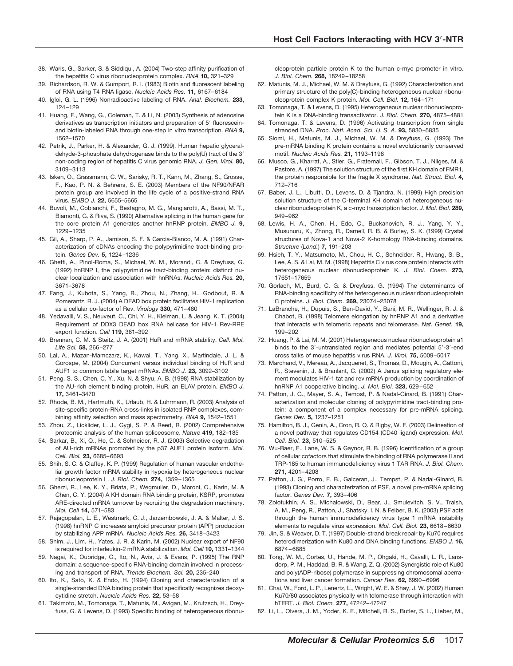- 38. Waris, G., Sarker, S. & Siddiqui, A. (2004) Two-step affinity purification of the hepatitis C virus ribonucleoprotein complex. *RNA* **10,** 321–329
- 39. Richardson, R. W. & Gumport, R. I. (1983) Biotin and fluorescent labeling of RNA using T4 RNA ligase. *Nucleic Acids Res.* **11,** 6167–6184
- 40. Igloi, G. L. (1996) Nonradioactive labeling of RNA. *Anal. Biochem.* **233,** 124–129
- 41. Huang, F., Wang, G., Coleman, T. & Li, N. (2003) Synthesis of adenosine derivatives as transcription initiators and preparation of 5' fluoresceinand biotin-labeled RNA through one-step in vitro transcription. *RNA* **9,** 1562–1570
- 42. Petrik, J., Parker, H. & Alexander, G. J. (1999). Human hepatic glyceraldehyde-3-phosphate dehydrogenase binds to the poly(U) tract of the 3non-coding region of hepatitis C virus genomic RNA. *J. Gen. Virol.* **80,** 3109–3113
- 43. Isken, O., Grassmann, C. W., Sarisky, R. T., Kann, M., Zhang, S., Grosse, F., Kao, P. N. & Behrens, S. E. (2003) Members of the NF90/NFAR protein group are involved in the life cycle of a positive-strand RNA virus. *EMBO J.* **22,** 5655–5665
- 44. Buvoli, M., Cobianchi, F., Bestagno, M. G., Mangiarotti, A., Bassi, M. T., Biamonti, G. & Riva, S. (1990) Alternative splicing in the human gene for the core protein A1 generates another hnRNP protein. *EMBO J.* **9,** 1229–1235
- 45. Gil, A., Sharp, P. A., Jamison, S. F. & Garcia-Blanco, M. A. (1991) Characterization of cDNAs encoding the polypyrimidine tract-binding protein. *Genes Dev.* **5,** 1224–1236
- 46. Ghetti, A., Pinol-Roma, S., Michael, W. M., Morandi, C. & Dreyfuss, G. (1992) hnRNP I, the polypyrimidine tract-binding protein: distinct nuclear localization and association with hnRNAs. *Nucleic Acids Res.* **20,** 3671–3678
- 47. Fang, J., Kubota, S., Yang, B., Zhou, N., Zhang, H., Godbout, R. & Pomerantz, R. J. (2004) A DEAD box protein facilitates HIV-1 replication as a cellular co-factor of Rev. *Virology* **330,** 471–480
- 48. Yedavalli, V. S., Neuveut, C., Chi, Y. H., Kleiman, L. & Jeang, K. T. (2004) Requirement of DDX3 DEAD box RNA helicase for HIV-1 Rev-RRE export function. *Cell* **119,** 381–392
- 49. Brennan, C. M. & Steitz, J. A. (2001) HuR and mRNA stability. *Cell. Mol. Life Sci.* **58,** 266–277
- 50. Lal, A., Mazan-Mamczarz, K., Kawai, T., Yang, X., Martindale, J. L. & Gorospe, M. (2004) Concurrent versus individual binding of HuR and AUF1 to common labile target mRNAs. *EMBO J.* **23,** 3092–3102
- 51. Peng, S. S., Chen, C. Y., Xu, N. & Shyu, A. B. (1998) RNA stabilization by the AU-rich element binding protein, HuR, an ELAV protein. *EMBO J.* **17,** 3461–3470
- 52. Rhode, B. M., Hartmuth, K., Urlaub, H. & Luhrmann, R. (2003) Analysis of site-specific protein-RNA cross-links in isolated RNP complexes, combining affinity selection and mass spectrometry. *RNA* **9,** 1542–1551
- 53. Zhou, Z., Licklider, L. J., Gygi, S. P. & Reed, R. (2002) Comprehensive proteomic analysis of the human spliceosome. *Nature* **419,** 182–185
- 54. Sarkar, B., Xi, Q., He, C. & Schneider, R. J. (2003) Selective degradation of AU-rich mRNAs promoted by the p37 AUF1 protein isoform. *Mol. Cell. Biol.* **23,** 6685–6693
- 55. Shih, S. C. & Claffey, K. P. (1999) Regulation of human vascular endothelial growth factor mRNA stability in hypoxia by heterogeneous nuclear ribonucleoprotein L. *J. Biol. Chem.* **274,** 1359–1365
- 56. Gherzi, R., Lee, K. Y., Briata, P., Wegmuller, D., Moroni, C., Karin, M. & Chen, C. Y. (2004) A KH domain RNA binding protein, KSRP, promotes ARE-directed mRNA turnover by recruiting the degradation machinery. *Mol. Cell* **14,** 571–583
- 57. Rajagopalan, L. E., Westmark, C. J., Jarzembowski, J. A. & Malter, J. S. (1998) hnRNP C increases amyloid precursor protein (APP) production by stabilizing APP mRNA. *Nucleic Acids Res.* **26,** 3418–3423
- 58. Shim, J., Lim, H., Yates, J. R. & Karin, M. (2002) Nuclear export of NF90 is required for interleukin-2 mRNA stabilization. *Mol. Cell* **10,** 1331–1344
- 59. Nagai, K., Oubridge, C., Ito, N., Avis, J. & Evans, P. (1995) The RNP domain: a sequence-specific RNA-binding domain involved in processing and transport of RNA. *Trends Biochem. Sci.* **20,** 235–240
- 60. Ito, K., Sato, K. & Endo, H. (1994) Cloning and characterization of a single-stranded DNA binding protein that specifically recognizes deoxycytidine stretch. *Nucleic Acids Res.* **22,** 53–58
- 61. Takimoto, M., Tomonaga, T., Matunis, M., Avigan, M., Krutzsch, H., Dreyfuss, G. & Levens, D. (1993) Specific binding of heterogeneous ribonu-

cleoprotein particle protein K to the human c-myc promoter in vitro. *J. Biol. Chem.* **268,** 18249–18258

- 62. Matunis, M. J., Michael, W. M. & Dreyfuss, G. (1992) Characterization and primary structure of the poly(C)-binding heterogeneous nuclear ribonucleoprotein complex K protein. *Mol. Cell. Biol.* **12,** 164–171
- 63. Tomonaga, T. & Levens, D. (1995) Heterogeneous nuclear ribonucleoprotein K is a DNA-binding transactivator. *J. Biol. Chem.* **270,** 4875–4881
- 64. Tomonaga, T. & Levens, D. (1996) Activating transcription from single stranded DNA. *Proc. Natl. Acad. Sci. U. S. A.* **93,** 5830–5835
- 65. Siomi, H., Matunis, M. J., Michael, W. M. & Dreyfuss, G. (1993) The pre-mRNA binding K protein contains a novel evolutionarily conserved motif. *Nucleic Acids Res.* **21,** 1193–1198
- 66. Musco, G., Kharrat, A., Stier, G., Fraternali, F., Gibson, T. J., Nilges, M. & Pastore, A. (1997) The solution structure of the first KH domain of FMR1, the protein responsible for the fragile X syndrome. *Nat. Struct. Biol.* **4,** 712–716
- 67. Baber, J. L., Libutti, D., Levens, D. & Tjandra, N. (1999) High precision solution structure of the C-terminal KH domain of heterogeneous nuclear ribonucleoprotein K, a c-myc transcription factor. *J. Mol. Biol.* **289,** 949–962
- 68. Lewis, H. A., Chen, H., Edo, C., Buckanovich, R. J., Yang, Y. Y., Musunuru, K., Zhong, R., Darnell, R. B. & Burley, S. K. (1999) Crystal structures of Nova-1 and Nova-2 K-homology RNA-binding domains. *Structure* (*Lond.*) **7,** 191–203
- 69. Hsieh, T. Y., Matsumoto, M., Chou, H. C., Schneider, R., Hwang, S. B., Lee, A. S. & Lai, M. M. (1998) Hepatitis C virus core protein interacts with heterogeneous nuclear ribonucleoprotein K. *J. Biol. Chem.* **273,** 17651–17659
- 70. Gorlach, M., Burd, C. G. & Dreyfuss, G. (1994) The determinants of RNA-binding specificity of the heterogeneous nuclear ribonucleoprotein C proteins. *J. Biol. Chem.* **269,** 23074–23078
- 71. LaBranche, H., Dupuis, S., Ben-David, Y., Bani, M. R., Wellinger, R. J. & Chabot, B. (1998) Telomere elongation by hnRNP A1 and a derivative that interacts with telomeric repeats and telomerase. *Nat. Genet.* **19,** 199–202
- 72. Huang, P. & Lai, M. M. (2001) Heterogeneous nuclear ribonucleoprotein a1 binds to the 3'-untranslated region and mediates potential 5'-3'-end cross talks of mouse hepatitis virus RNA. *J. Virol.* **75,** 5009–5017
- 73. Marchand, V., Mereau, A., Jacquenet, S., Thomas, D., Mougin, A., Gattoni, R., Stevenin, J. & Branlant, C. (2002) A Janus splicing regulatory element modulates HIV-1 tat and rev mRNA production by coordination of hnRNP A1 cooperative binding. *J. Mol. Biol.* **323,** 629–652
- 74. Patton, J. G., Mayer, S. A., Tempst, P. & Nadal-Ginard, B. (1991) Characterization and molecular cloning of polypyrimidine tract-binding protein: a component of a complex necessary for pre-mRNA splicing. *Genes Dev.* **5,** 1237–1251
- 75. Hamilton, B. J., Genin, A., Cron, R. Q. & Rigby, W. F. (2003) Delineation of a novel pathway that regulates CD154 (CD40 ligand) expression. *Mol. Cell. Biol.* **23,** 510–525
- 76. Wu-Baer, F., Lane, W. S. & Gaynor, R. B. (1996) Identification of a group of cellular cofactors that stimulate the binding of RNA polymerase II and TRP-185 to human immunodeficiency virus 1 TAR RNA. *J. Biol. Chem.* **271,** 4201–4208
- 77. Patton, J. G., Porro, E. B., Galceran, J., Tempst, P. & Nadal-Ginard, B. (1993) Cloning and characterization of PSF, a novel pre-mRNA splicing factor. *Genes Dev.* **7,** 393–406
- 78. Zolotukhin, A. S., Michalowski, D., Bear, J., Smulevitch, S. V., Traish, A. M., Peng, R., Patton, J., Shatsky, I. N. & Felber, B. K. (2003) PSF acts through the human immunodeficiency virus type 1 mRNA instability elements to regulate virus expression. *Mol. Cell. Biol.* **23,** 6618–6630
- 79. Jin, S. & Weaver, D. T. (1997) Double-strand break repair by Ku70 requires heterodimerization with Ku80 and DNA binding functions. *EMBO J.* **16,** 6874–6885
- 80. Tong, W. M., Cortes, U., Hande, M. P., Ohgaki, H., Cavalli, L. R., Lansdorp, P. M., Haddad, B. R. & Wang, Z. Q. (2002) Synergistic role of Ku80 and poly(ADP-ribose) polymerase in suppressing chromosomal aberrations and liver cancer formation. *Cancer Res.* **62,** 6990–6996
- 81. Chai, W., Ford, L. P., Lenertz, L., Wright, W. E. & Shay, J. W. (2002) Human Ku70/80 associates physically with telomerase through interaction with hTERT. *J. Biol. Chem.* **277,** 47242–47247
- 82. Li, L., Olvera, J. M., Yoder, K. E., Mitchell, R. S., Butler, S. L., Lieber, M.,